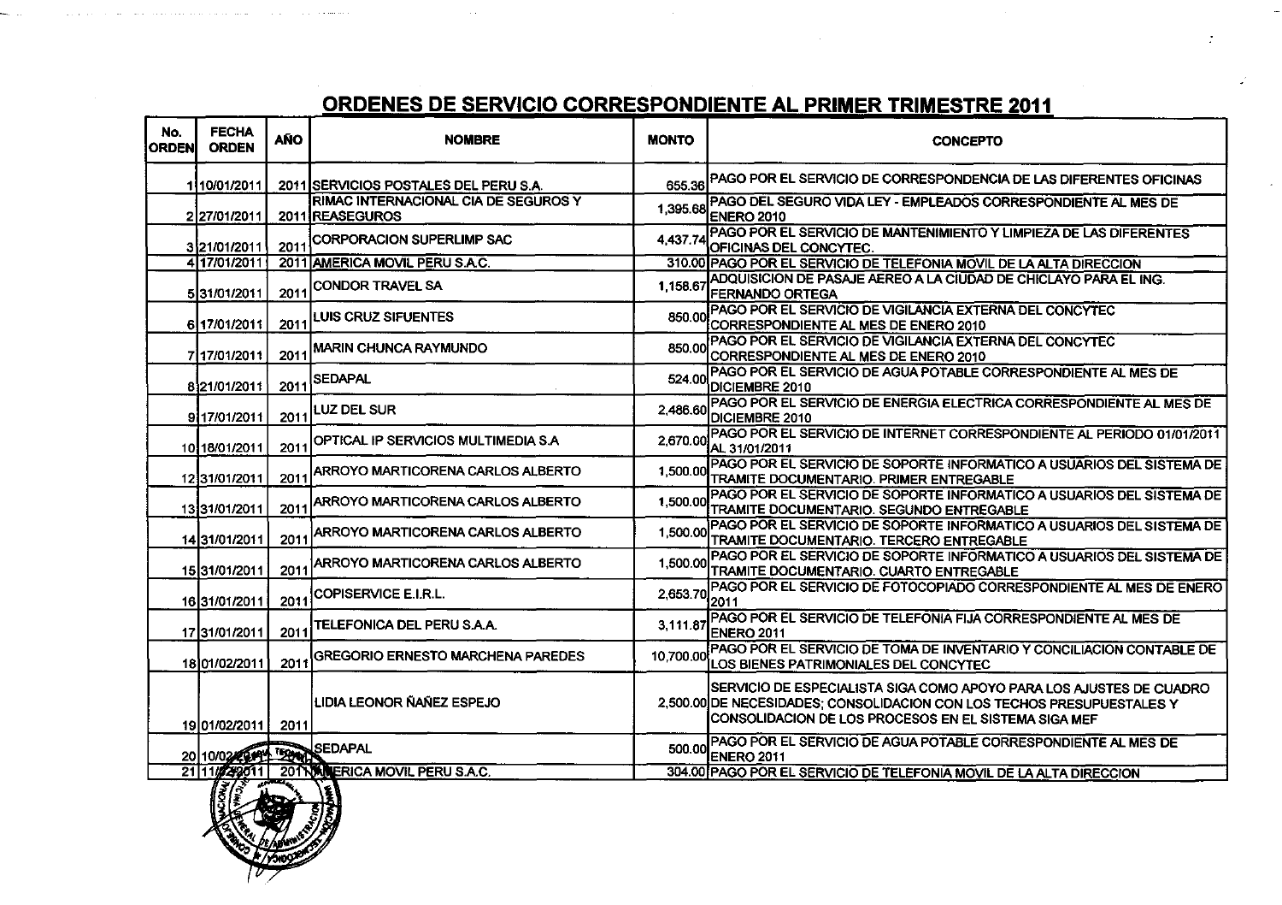$\sim 10^7$ 

| No.<br><b>ORDEN</b> | <b>FECHA</b><br><b>ORDEN</b> | <b>AÑO</b> | <b>NOMBRE</b>                                           | <b>MONTO</b>    | <b>CONCEPTO</b>                                                                                                                                                                                       |
|---------------------|------------------------------|------------|---------------------------------------------------------|-----------------|-------------------------------------------------------------------------------------------------------------------------------------------------------------------------------------------------------|
|                     | 110/01/2011                  |            | 2011 SERVICIOS POSTALES DEL PERU S.A.                   |                 | 655.36 PAGO POR EL SERVICIO DE CORRESPONDENCIA DE LAS DIFERENTES OFICINAS                                                                                                                             |
|                     | 2 27/01/2011                 |            | RIMAC INTERNACIONAL CIA DE SEGUROS Y<br>2011 REASEGUROS |                 | 1,395.68 PAGO DEL SEGURO VIDA LEY - EMPLEADOS CORRESPONDIENTE AL MES DE<br>ENERO 2010                                                                                                                 |
|                     | 3 21/01/2011                 | 2011       | <b>CORPORACION SUPERLIMP SAC</b>                        | 4,437.74        | PAGO POR EL SERVICIO DE MANTENIMIENTO Y LIMPIEZA DE LAS DIFERENTES<br>OFICINAS DEL CONCYTEC.                                                                                                          |
|                     | 4 17/01/2011                 |            | 2011 AMERICA MOVIL PERU S.A.C.                          |                 | 310.00 PAGO POR EL SERVICIO DE TELEFONIA MOVIL DE LA ALTA DIRECCION                                                                                                                                   |
|                     | 531/01/2011                  | 2011       | <b>CONDOR TRAVEL SA</b>                                 | 1.158.6         | ADQUISICION DE PASAJE AEREO A LA CIUDAD DE CHICLAYO PARA EL ING.<br><b>FERNANDO ORTEGA</b>                                                                                                            |
|                     | 6 17/01/2011                 | 2011       | LUIS CRUZ SIFUENTES                                     |                 | 850.00 PAGO POR EL SERVICIO DE VIGILANCIA EXTERNA DEL CONCYTEC<br>CORRESPONDIENTE AL MES DE ENERO 2010                                                                                                |
|                     | 7117/01/2011                 | 201'       | <b>MARIN CHUNCA RAYMUNDO</b>                            | 850.00          | PAGO POR EL SERVICIO DE VIGILANCIA EXTERNA DEL CONCYTEC<br>CORRESPONDIENTE AL MES DE ENERO 2010                                                                                                       |
|                     | 821/01/2011                  | 2011       | SEDAPAL                                                 | 524.00          | PAGO POR EL SERVICIO DE AGUA POTABLE CORRESPONDIENTE AL MES DE<br>DICIEMBRE 2010                                                                                                                      |
|                     | 9117/01/2011                 | 2011       | <b>LUZ DEL SUR</b>                                      | 2.486.6         | PAGO POR EL SERVICIO DE ENERGIA ELECTRICA CORRESPONDIENTE AL MES DE<br>DICIEMBRE 2010                                                                                                                 |
|                     | 10 18/01/2011                | 2011       | OPTICAL IP SERVICIOS MULTIMEDIA S.A                     | 2,670.00        | PAGO POR EL SERVICIO DE INTERNET CORRESPONDIENTE AL PERIODO 01/01/2011<br>IAL 31/01/2011                                                                                                              |
|                     | 1231/01/2011                 | 2011       | ARROYO MARTICORENA CARLOS ALBERTO                       | 1.500.00        | PAGO POR EL SERVICIO DE SOPORTE INFORMATICO A USUARIOS DEL SISTEMA DE<br>TRAMITE DOCUMENTARIO. PRIMER ENTREGABLE                                                                                      |
|                     | 1331/01/2011                 | 2011       | ARROYO MARTICORENA CARLOS ALBERTO                       | 1.500.00        | PAGO POR EL SERVICIO DE SOPORTE INFORMATICO A USUARIOS DEL SISTEMA DE<br><b>TRAMITE DOCUMENTARIO. SEGUNDO ENTREGABLE</b>                                                                              |
|                     | 1431/01/2011                 | 2011       | <b>ARROYO MARTICORENA CARLOS ALBERTO</b>                | 1.500.00        | PAGO POR EL SERVICIO DE SOPORTE INFORMATICO A USUARIOS DEL SISTEMA DE<br>TRAMITE DOCUMENTARIO. TERCERO ENTREGABLE                                                                                     |
|                     | 15 31/01/2011                | 2011       | ARROYO MARTICORENA CARLOS ALBERTO                       | 1.500.00        | PAGO POR EL SERVICIO DE SOPORTE INFORMATICO A USUARIOS DEL SISTEMA DE<br>TRAMITE DOCUMENTARIO. CUARTO ENTREGABLE                                                                                      |
|                     | 16 31/01/2011                | 2011       | <b>COPISERVICE E.I.R.L.</b>                             | $2,653.70$ 2011 | PAGO POR EL SERVICIO DE FOTOCOPIADO CORRESPONDIENTE AL MES DE ENERO                                                                                                                                   |
|                     | 17 31/01/2011                | 2011       | TELEFONICA DEL PERU S.A.A.                              | 3.111.87        | PAGO POR EL SERVICIO DE TELEFONIA FIJA CORRESPONDIENTE AL MES DE<br><b>IENERO 2011</b>                                                                                                                |
|                     | 1801/02/2011                 | 2011       | <b>GREGORIO ERNESTO MARCHENA PAREDES</b>                | 10,700.00       | PAGO POR EL SERVICIO DE TOMA DE INVENTARIO Y CONCILIACION CONTABLE DE<br>LOS BIENES PATRIMONIALES DEL CONCYTEC                                                                                        |
|                     | 19 01/02/2011                | 2011       | LIDIA LEONOR ÑAÑEZ ESPEJO                               |                 | SERVICIO DE ESPECIALISTA SIGA COMO APOYO PARA LOS AJUSTES DE CUADRO<br>2,500.00 DE NECESIDADES; CONSOLIDACION CON LOS TECHOS PRESUPUESTALES Y<br>CONSOLIDACION DE LOS PROCESOS EN EL SISTEMA SIGA MEF |
|                     | 20 10/02 100 152 SEDAPAL     |            |                                                         | 500.00          | IPAGO POR EL SERVICIO DE AGUA POTABLE CORRESPONDIENTE AL MES DE<br><b>ENERO 2011</b>                                                                                                                  |
|                     |                              |            | 21 11/24/2011 201 NAMERICA MOVIL PERU S.A.C.            |                 | 304.00 PAGO POR EL SERVICIO DE TELEFONIA MOVIL DE LA ALTA DIRECCION                                                                                                                                   |



. . . . . . . .

and a structure and a

and the state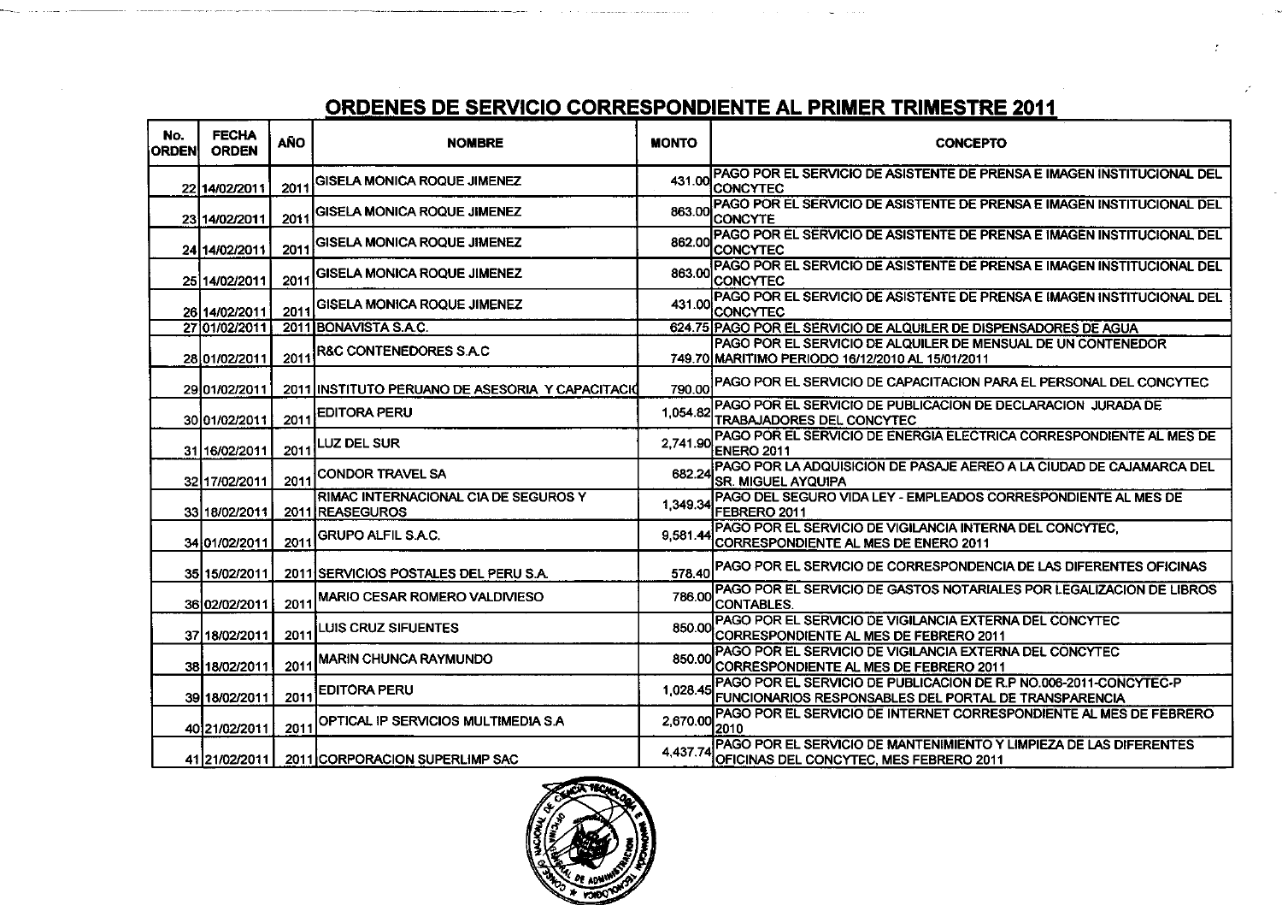| No.<br><b>ORDEN</b> | <b>FECHA</b><br><b>ORDEN</b> | AÑO     | <b>NOMBRE</b>                                           | <b>MONTO</b> | <b>CONCEPTO</b>                                                                                                            |
|---------------------|------------------------------|---------|---------------------------------------------------------|--------------|----------------------------------------------------------------------------------------------------------------------------|
|                     | 22 14/02/2011                | 2011    | IGISELA MONICA ROQUE JIMENEZ                            |              | 431.00 PAGO POR EL SERVICIO DE ASISTENTE DE PRENSA E IMAGEN INSTITUCIONAL DEL<br>ICONCYTEC                                 |
|                     | 2314/02/2011                 | 2011    | GISELA MONICA ROQUE JIMENEZ                             |              | IPAGO POR EL SERVICIO DE ASISTENTE DE PRENSA E IMAGEN INSTITUCIONAL DEL<br>863.00 CONCYTE                                  |
|                     | 24 14/02/2011                | 2011    | GISELA MONICA ROQUE JIMENEZ                             | 862.00       | PAGO POR EL SERVICIO DE ASISTENTE DE PRENSA E IMAGEN INSTITUCIONAL DEL<br><b>CONCYTEC</b>                                  |
|                     | 25 14/02/2011                | 2011    | GISELA MONICA ROQUE JIMENEZ                             | 863.00       | PAGO POR EL SERVICIO DE ASISTENTE DE PRENSA E IMAGEN INSTITUCIONAL DEL<br>ICONCYTEC                                        |
|                     | 26 14/02/2011                | 2011    | GISELA MONICA ROQUE JIMENEZ                             | 431.00       | PAGO POR EL SERVICIO DE ASISTENTE DE PRENSA E IMAGEN INSTITUCIONAL DEL<br>ICONCYTEC                                        |
|                     | 27 01/02/2011                |         | 2011 BONAVISTA S.A.C.                                   |              | 624.75 PAGO POR EL SERVICIO DE ALQUILER DE DISPENSADORES DE AGUA                                                           |
|                     | 28 01/02/2011                | 2011    | <b>R&amp;C CONTENEDORES S.A.C</b>                       |              | PAGO POR EL SERVICIO DE ALQUILER DE MENSUAL DE UN CONTENEDOR<br>749.70 MARITIMO PERIODO 16/12/2010 AL 15/01/2011           |
|                     | 29 01/02/2011                |         | 2011 INSTITUTO PERUANO DE ASESORIA Y CAPACITACIO        |              | 790.00 PAGO POR EL SERVICIO DE CAPACITACION PARA EL PERSONAL DEL CONCYTEC                                                  |
|                     | 30 01/02/2011                | 2011    | <b>EDITORA PERU</b>                                     | 1.054.82     | IPAGO POR EL SERVICIO DE PUBLICACION DE DECLARACION JURADA DE<br><b>TRABAJADORES DEL CONCYTEC</b>                          |
|                     | 31 16/02/2011                | 2011    | LUZ DEL SUR                                             | 2,741.90     | IPAGO POR EL SERVICIO DE ENERGIA ELECTRICA CORRESPONDIENTE AL MES DE<br><b>ENERO 2011</b>                                  |
|                     | 32 17/02/2011                | 2011    | CONDOR TRAVEL SA                                        | 682.24       | PAGO POR LA ADQUISICION DE PASAJE AEREO A LA CIUDAD DE CAJAMARCA DEL<br><b>SR. MIGUEL AYQUIPA</b>                          |
|                     | 33 18/02/2011                |         | RIMAC INTERNACIONAL CIA DE SEGUROS Y<br>2011 REASEGUROS | 1.349.34     | IPAGO DEL SEGURO VIDA LEY - EMPLEADOS CORRESPONDIENTE AL MÉS DE<br>FEBRERO 2011                                            |
|                     | 34 01/02/2011                | 2011    | <b>GRUPO ALFIL S.A.C.</b>                               | 9.581.44     | PAGO POR EL SERVICIO DE VIGILANCIA INTERNA DEL CONCYTEC.<br>CORRESPONDIENTE AL MES DE ENERO 2011                           |
|                     | 35 15/02/2011                |         | 2011 SERVICIOS POSTALES DEL PERUS.A.                    |              | 578.40 PAGO POR EL SERVICIO DE CORRESPONDENCIA DE LAS DIFERENTES OFICINAS                                                  |
|                     | 36 02/02/2011                | $201 -$ | <b>MARIO CESAR ROMERO VALDIVIESO</b>                    | 786.00       | PAGO POR EL SERVICIO DE GASTOS NOTARIALES POR LEGALIZACION DE LIBROS<br><b>CONTABLES.</b>                                  |
|                     | 37 18/02/2011                | 2011    | <b>LUIS CRUZ SIFUENTES</b>                              | 850.00       | PAGO POR EL SERVICIO DE VIGILANCIA EXTERNA DEL CONCYTEC<br>CORRESPONDIENTE AL MES DE FEBRERO 2011                          |
|                     | 38 18/02/2011                | 2011    | <b>MARIN CHUNCA RAYMUNDO</b>                            | 850.00       | PAGO POR EL SERVICIO DE VIGILANCIA EXTERNA DEL CONCYTEC<br>CORRESPONDIENTE AL MES DE FEBRERO 2011                          |
|                     | 39 18/02/2011                | 2011    | <b>EDITORA PERU</b>                                     | 1.028.45     | PAGO POR EL SERVICIO DE PUBLICACION DE R.P NO.006-2011-CONCYTEC-P<br>FUNCIONARIOS RESPONSABLES DEL PORTAL DE TRANSPARENCIA |
|                     | 40 21/02/2011                | 2011    | OPTICAL IP SERVICIOS MULTIMEDIA S.A                     |              | 2,670.00 PAGO POR EL SERVICIO DE INTERNET CORRESPONDIENTE AL MES DE FEBRERO<br>2010                                        |
|                     | 41 21/02/2011                |         | 2011 CORPORACION SUPERLIMP SAC                          | 4.437.74     | PAGO POR EL SERVICIO DE MANTENIMIENTO Y LIMPIEZA DE LAS DIFERENTES<br>OFICINAS DEL CONCYTEC, MES FEBRERO 2011              |

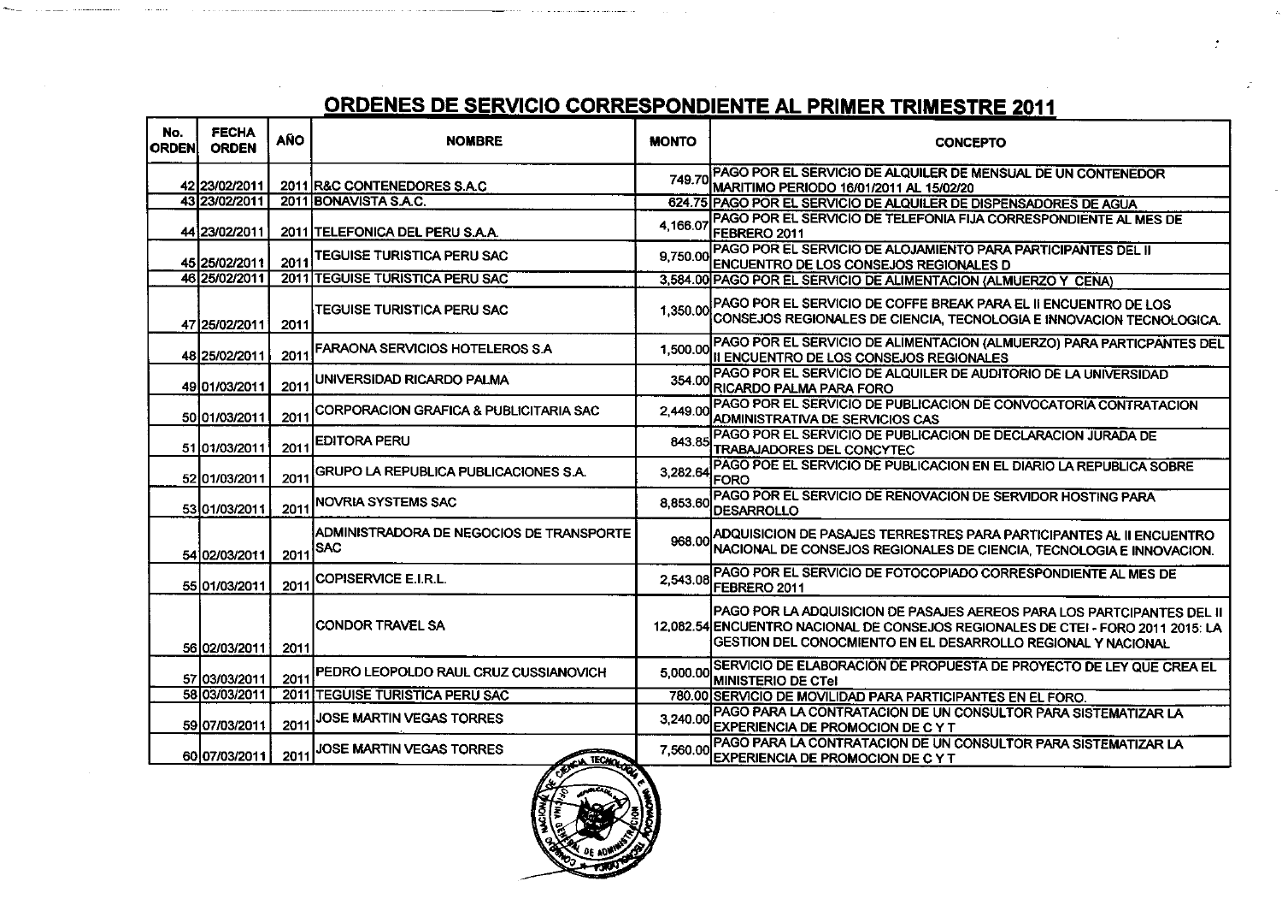#### **ORDENES DE SERVICIO CORRESPONDIENTE AL P**

المستقلة والمقاربة فالمستقلة ولاد والمداورة والارداد

| No.<br><b>ORDEN</b> | <b>FECHA</b><br><b>ORDEN</b> | AÑO  | <b>NOMBRE</b>                                          | <b>MONTO</b> | <b>CONCEPTO</b>                                                                                                                                                                                                            |  |
|---------------------|------------------------------|------|--------------------------------------------------------|--------------|----------------------------------------------------------------------------------------------------------------------------------------------------------------------------------------------------------------------------|--|
|                     | 42123/02/2011                |      | 2011 R&C CONTENEDORES S.A.C                            |              | 749.70 PAGO POR EL SERVICIO DE ALQUILER DE MENSUAL DE UN CONTENEDOR<br>MARITIMO PERIODO 16/01/2011 AL 15/02/20                                                                                                             |  |
|                     | 43 23/02/2011                |      | 2011 BONAVISTA S.A.C.                                  |              | 624.75 PAGO POR EL SERVICIO DE ALQUILER DE DISPENSADORES DE AGUA                                                                                                                                                           |  |
|                     | 44 23/02/2011                |      | 2011 ITELEFONICA DEL PERU S.A.A.                       | 4,166.07     | PAGO POR EL SERVICIO DE TELEFONIA FIJA CORRESPONDIENTE AL MES DE<br><b>IFEBRERO 2011</b>                                                                                                                                   |  |
|                     | 45 25/02/2011                | 2011 | TEGUISE TURISTICA PERU SAC                             | 9.750.00     | PAGO POR EL SERVICIO DE ALOJAMIENTO PARA PARTICIPANTES DEL II<br>ENCUENTRO DE LOS CONSEJOS REGIONALES D                                                                                                                    |  |
|                     | 46 25/02/2011                |      | 2011 TEGUISE TURISTICA PERU SAC                        |              | 3,584.00 PAGO POR EL SERVICIO DE ALIMENTACION (ALMUERZO Y CENA)                                                                                                                                                            |  |
|                     | 47 25/02/2011                | 2011 | TEGUISE TURISTICA PERU SAC                             |              | 1,350.00 PAGO POR EL SERVICIO DE COFFE BREAK PARA EL II ENCUENTRO DE LOS<br>CONSEJOS REGIONALES DE CIENCIA, TECNOLOGIA E INNOVACION TECNOLOGICA.                                                                           |  |
|                     | 48 25/02/2011                | 2011 | FARAONA SERVICIOS HOTELEROS S.A                        |              | 1,500.00 PAGO POR EL SERVICIO DE ALIMENTACION (ALMUERZO) PARA PARTICPANTES DEL<br>III ENCUENTRO DE LOS CONSEJOS REGIONALES                                                                                                 |  |
|                     | 49 01/03/2011                | 2011 | UNIVERSIDAD RICARDO PALMA                              |              | 354.00 PAGO POR EL SERVICIO DE ALQUILER DE AUDITORIO DE LA UNIVERSIDAD<br><b>RICARDO PALMA PARA FORO</b>                                                                                                                   |  |
|                     | 50 01/03/2011                | 2011 | CORPORACION GRAFICA & PUBLICITARIA SAC                 | 2.449.00     | PAGO POR EL SERVICIO DE PUBLICACION DE CONVOCATORIA CONTRATACION<br><b>ADMINISTRATIVA DE SERVICIOS CAS</b>                                                                                                                 |  |
|                     | 51 01/03/2011                | 2011 | <b>EDITORA PERU</b>                                    | 843.85       | PAGO POR EL SERVICIO DE PUBLICACION DE DECLARACION JURADA DE<br>TRABAJADORES DEL CONCYTEC                                                                                                                                  |  |
|                     | 52 01/03/2011                | 2011 | GRUPO LA REPUBLICA PUBLICACIONES S.A.                  | 3.282.64     | PAGO POE EL SERVICIO DE PUBLICACION EN EL DIARIO LA REPUBLICA SOBRE<br> FORO                                                                                                                                               |  |
|                     | 5301/03/2011                 | 2011 | <b>NOVRIA SYSTEMS SAC</b>                              | 8.853.60     | PAGO POR EL SERVICIO DE RENOVACION DE SERVIDOR HOSTING PARA<br>DESARROLLO                                                                                                                                                  |  |
|                     | 54102/03/2011                | 2011 | ADMINISTRADORA DE NEGOCIOS DE TRANSPORTE<br><b>SAC</b> |              | 968.00 ADQUISICION DE PASAJES TERRESTRES PARA PARTICIPANTES AL II ENCUENTRO<br>NACIONAL DE CONSEJOS REGIONALES DE CIENCIA, TECNOLOGIA E INNOVACION.                                                                        |  |
|                     | 55 01/03/2011                | 2011 | ICOPISERVICE E.I.R.L.                                  | 2.543.08     | IPAGO POR EL SERVICIO DE FOTOCOPIADO CORRESPONDIENTE AL MES DE<br>FEBRERO 2011                                                                                                                                             |  |
|                     | 56 02/03/2011                | 2011 | <b>ICONDOR TRAVEL SA</b>                               |              | PAGO POR LA ADQUISICION DE PASAJES AEREOS PARA LOS PARTCIPANTES DEL II<br>12,082.54 ENCUENTRO NACIONAL DE CONSEJOS REGIONALES DE CTEI - FORO 2011 2015: LA<br>GESTION DEL CONOCMIENTO EN EL DESARROLLO REGIONAL Y NACIONAL |  |
|                     | 57 03/03/2011                | 2011 | PEDRO LEOPOLDO RAUL CRUZ CUSSIANOVICH                  |              | 5,000.00 SERVICIO DE ELABORACIÓN DE PROPUESTA DE PROYECTO DE LEY QUE CREA EL<br><b>MINISTERIO DE CTel</b>                                                                                                                  |  |
|                     | 58 03/03/2011                | 2011 | <b>TEGUISE TURISTICA PERU SAC</b>                      |              | 780.00 SERVICIO DE MOVILIDAD PARA PARTICIPANTES EN EL FORO.                                                                                                                                                                |  |
|                     | 59 07/03/2011                | 2011 | JOSE MARTIN VEGAS TORRES                               |              | 3,240.00 PAGO PARA LA CONTRATACIÓN DE UN CONSULTOR PARA SISTEMATIZAR LA<br>EXPERIENCIA DE PROMOCION DE CYT                                                                                                                 |  |
|                     | 60 07/03/2011                | 2011 | JOSE MARTIN VEGAS TORRES<br><b>TECHOL</b>              | 7,560.00     | PAGO PARA LA CONTRATACION DE UN CONSULTOR PARA SISTEMATIZAR LA<br>EXPERIENCIA DE PROMOCION DE C Y T                                                                                                                        |  |
|                     |                              |      |                                                        |              |                                                                                                                                                                                                                            |  |

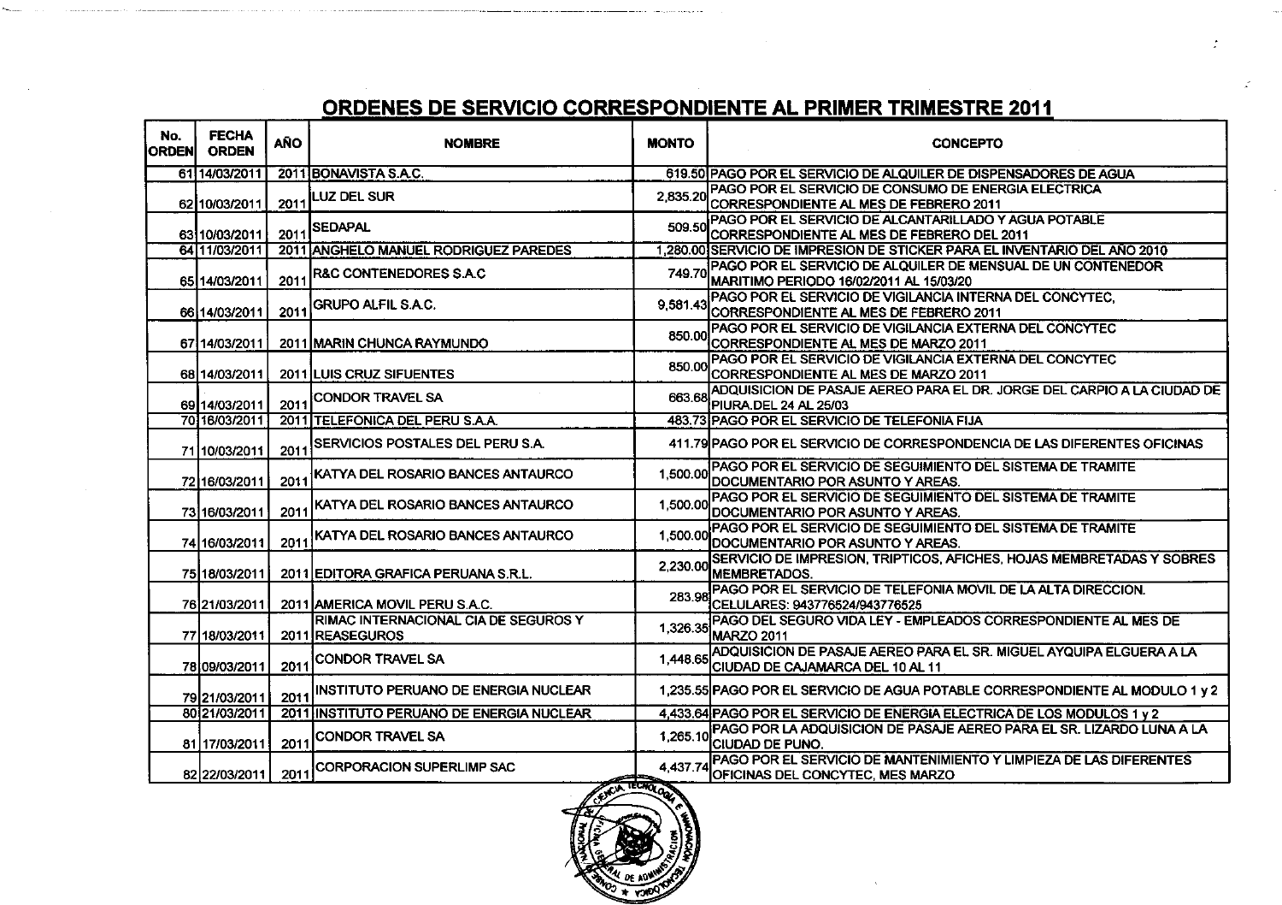| 2011 BONAVISTA S.A.C.<br>61114/03/2011<br>619.50 PAGO POR EL SERVICIO DE ALQUILER DE DISPENSADORES DE AGUA<br>PAGO POR EL SERVICIO DE CONSUMO DE ENERGIA ELECTRICA<br><b>LUZ DEL SUR</b><br>2.835.20<br>62 10/03/2011<br>2011<br>CORRESPONDIENTE AL MES DE FEBRERO 2011<br>IPAGO POR EL SERVICIO DE ALCANTARILLADO Y AGUA POTABLE<br>509.50<br><b>SEDAPAL</b><br>2011<br>63 10/03/2011<br>CORRESPONDIENTE AL MES DE FEBRERO DEL 2011<br>64 11/03/2011<br>2011 ANGHELO MANUEL RODRIGUEZ PAREDES<br>1,280.00 SERVICIO DE IMPRESION DE STICKER PARA EL INVENTARIO DEL AÑO 2010<br>749.70 PAGO POR EL SERVICIO DE ALQUILER DE MENSUAL DE UN CONTENEDOR<br><b>R&amp;C CONTENEDORES S.A.C</b><br>2011<br>65 14/03/2011<br>MARITIMO PERIODO 16/02/2011 AL 15/03/20<br>PAGO POR EL SERVICIO DE VIGILANCIA INTERNA DEL CONCYTEC.<br><b>GRUPO ALFIL S.A.C.</b><br>9,581.43<br>66 14/03/2011<br>2011<br>CORRESPONDIENTE AL MES DE FEBRERO 2011<br>PAGO POR EL SERVICIO DE VIGILANCIA EXTERNA DEL CONCYTEC<br>850.00<br>CORRESPONDIENTE AL MES DE MARZO 2011<br>67114/03/2011<br><b>2011 MARIN CHUNCA RAYMUNDO</b><br>IPAGO POR EL SERVICIO DE VIGILANCIA EXTERNA DEL CONCYTEC<br>850.00<br>68 14/03/2011<br>2011 LUIS CRUZ SIFUENTES<br>CORRESPONDIENTE AL MES DE MARZO 2011<br>CONDOR TRAVEL SA<br>663.68<br>2011<br>69 14/03/2011<br>PIURA.DEL 24 AL 25/03<br>70 16/03/2011<br>2011 TELEFONICA DEL PERU S.A.A.<br>483.73 PAGO POR EL SERVICIO DE TELEFONIA FIJA<br>SERVICIOS POSTALES DEL PERU S.A.<br>411.79 PAGO POR EL SERVICIO DE CORRESPONDENCIA DE LAS DIFERENTES OFICINAS<br>2011<br>7110/03/2011<br>JPAGO POR EL SERVICIO DE SEGUIMIENTO DEL SISTEMA DE TRAMITE<br>1,500.00<br>KATYA DEL ROSARIO BANCES ANTAURCO<br>72116/03/2011<br>2011<br><b>IDOCUMENTARIO POR ASUNTO Y AREAS.</b><br>PAGO POR EL SERVICIO DE SEGUIMIENTO DEL SISTEMA DE TRAMITE<br>KATYA DEL ROSARIO BANCES ANTAURCO<br>1,500.00<br>2011<br>73 16/03/2011<br>DOCUMENTARIO POR ASUNTO Y AREAS<br>PAGO POR EL SERVICIO DE SEGUIMIENTO DEL SISTEMA DE TRAMITE<br>KATYA DEL ROSARIO BANCES ANTAURCO<br>1,500.00<br>74 16/03/2011<br>2011<br>DOCUMENTARIO POR ASUNTO Y AREAS<br>2,230.00 SERVICIO DE IMPRESION, TRIPTICOS, AFICHES, HOJAS MEMBRETADAS Y SOBRES<br><b>MEMBRETADOS.</b><br>75 18/03/2011<br>2011 EDITORA GRAFICA PERUANA S.R.L.<br>PAGO POR EL SERVICIO DE TELEFONIA MOVIL DE LA ALTA DIRECCION.<br>283.98<br>76 21/03/2011<br>2011 AMERICA MOVIL PERU S.A.C.<br>CELULARES: 943776524/943776525<br>RIMAC INTERNACIONAL CIA DE SEGUROS Y<br>PAGO DEL SEGURO VIDA LEY - EMPLEADOS CORRESPONDIENTE AL MES DE<br>1.326.35<br><b>MARZO 2011</b><br>77 18/03/2011<br>2011 REASEGUROS<br>ADQUISICION DE PASAJE AEREO PARA EL SR. MIGUEL AYQUIPA ELGUERA A LA<br>CONDOR TRAVEL SA<br>1,448.65<br>2011<br>78 09/03/2011<br>CIUDAD DE CAJAMARCA DEL 10 AL 11<br>1,235.55 PAGO POR EL SERVICIO DE AGUA POTABLE CORRESPONDIENTE AL MODULO 1 y 2<br><b>INSTITUTO PERUANO DE ENERGIA NUCLEAR</b><br>2011<br>79 21/03/2011<br>80 21/03/2011<br>2011 INSTITUTO PERUANO DE ENERGIA NUCLEAR<br>4,433.64 PAGO POR EL SERVICIO DE ENERGIA ELECTRICA DE LOS MODULOS 1 y 2<br>1,265.10 PAGO POR LA ADQUISICION DE PASAJE AÉREO PARA EL SR. LIZARDO LUNA A LA<br>CONDOR TRAVEL SA<br>81 17/03/2011<br>2011<br>ÍCIUDAD DE PUNO.<br>PAGO POR EL SERVICIO DE MANTENIMIENTO Y LIMPIEZA DE LAS DIFERENTES<br><b>CORPORACION SUPERLIMP SAC</b><br>4.437.74<br>2011<br>82 22/03/2011<br>OFICINAS DEL CONCYTEC, MES MARZO<br>TCTQ | No.<br><b>ORDENI</b> | <b>FECHA</b><br><b>ORDEN</b> | <b>AÑO</b> | <b>NOMBRE</b> | <b>MONTO</b> | <b>CONCEPTO</b>                                                         |
|--------------------------------------------------------------------------------------------------------------------------------------------------------------------------------------------------------------------------------------------------------------------------------------------------------------------------------------------------------------------------------------------------------------------------------------------------------------------------------------------------------------------------------------------------------------------------------------------------------------------------------------------------------------------------------------------------------------------------------------------------------------------------------------------------------------------------------------------------------------------------------------------------------------------------------------------------------------------------------------------------------------------------------------------------------------------------------------------------------------------------------------------------------------------------------------------------------------------------------------------------------------------------------------------------------------------------------------------------------------------------------------------------------------------------------------------------------------------------------------------------------------------------------------------------------------------------------------------------------------------------------------------------------------------------------------------------------------------------------------------------------------------------------------------------------------------------------------------------------------------------------------------------------------------------------------------------------------------------------------------------------------------------------------------------------------------------------------------------------------------------------------------------------------------------------------------------------------------------------------------------------------------------------------------------------------------------------------------------------------------------------------------------------------------------------------------------------------------------------------------------------------------------------------------------------------------------------------------------------------------------------------------------------------------------------------------------------------------------------------------------------------------------------------------------------------------------------------------------------------------------------------------------------------------------------------------------------------------------------------------------------------------------------------------------------------------------------------------------------------------------------------------------------------------------------------------------------------------------------------------------------------------------------------------------------------------------------------------------------------------------------------------------------------------------------------------------------------------------------|----------------------|------------------------------|------------|---------------|--------------|-------------------------------------------------------------------------|
|                                                                                                                                                                                                                                                                                                                                                                                                                                                                                                                                                                                                                                                                                                                                                                                                                                                                                                                                                                                                                                                                                                                                                                                                                                                                                                                                                                                                                                                                                                                                                                                                                                                                                                                                                                                                                                                                                                                                                                                                                                                                                                                                                                                                                                                                                                                                                                                                                                                                                                                                                                                                                                                                                                                                                                                                                                                                                                                                                                                                                                                                                                                                                                                                                                                                                                                                                                                                                                                                                |                      |                              |            |               |              |                                                                         |
|                                                                                                                                                                                                                                                                                                                                                                                                                                                                                                                                                                                                                                                                                                                                                                                                                                                                                                                                                                                                                                                                                                                                                                                                                                                                                                                                                                                                                                                                                                                                                                                                                                                                                                                                                                                                                                                                                                                                                                                                                                                                                                                                                                                                                                                                                                                                                                                                                                                                                                                                                                                                                                                                                                                                                                                                                                                                                                                                                                                                                                                                                                                                                                                                                                                                                                                                                                                                                                                                                |                      |                              |            |               |              |                                                                         |
|                                                                                                                                                                                                                                                                                                                                                                                                                                                                                                                                                                                                                                                                                                                                                                                                                                                                                                                                                                                                                                                                                                                                                                                                                                                                                                                                                                                                                                                                                                                                                                                                                                                                                                                                                                                                                                                                                                                                                                                                                                                                                                                                                                                                                                                                                                                                                                                                                                                                                                                                                                                                                                                                                                                                                                                                                                                                                                                                                                                                                                                                                                                                                                                                                                                                                                                                                                                                                                                                                |                      |                              |            |               |              |                                                                         |
|                                                                                                                                                                                                                                                                                                                                                                                                                                                                                                                                                                                                                                                                                                                                                                                                                                                                                                                                                                                                                                                                                                                                                                                                                                                                                                                                                                                                                                                                                                                                                                                                                                                                                                                                                                                                                                                                                                                                                                                                                                                                                                                                                                                                                                                                                                                                                                                                                                                                                                                                                                                                                                                                                                                                                                                                                                                                                                                                                                                                                                                                                                                                                                                                                                                                                                                                                                                                                                                                                |                      |                              |            |               |              |                                                                         |
|                                                                                                                                                                                                                                                                                                                                                                                                                                                                                                                                                                                                                                                                                                                                                                                                                                                                                                                                                                                                                                                                                                                                                                                                                                                                                                                                                                                                                                                                                                                                                                                                                                                                                                                                                                                                                                                                                                                                                                                                                                                                                                                                                                                                                                                                                                                                                                                                                                                                                                                                                                                                                                                                                                                                                                                                                                                                                                                                                                                                                                                                                                                                                                                                                                                                                                                                                                                                                                                                                |                      |                              |            |               |              |                                                                         |
|                                                                                                                                                                                                                                                                                                                                                                                                                                                                                                                                                                                                                                                                                                                                                                                                                                                                                                                                                                                                                                                                                                                                                                                                                                                                                                                                                                                                                                                                                                                                                                                                                                                                                                                                                                                                                                                                                                                                                                                                                                                                                                                                                                                                                                                                                                                                                                                                                                                                                                                                                                                                                                                                                                                                                                                                                                                                                                                                                                                                                                                                                                                                                                                                                                                                                                                                                                                                                                                                                |                      |                              |            |               |              |                                                                         |
|                                                                                                                                                                                                                                                                                                                                                                                                                                                                                                                                                                                                                                                                                                                                                                                                                                                                                                                                                                                                                                                                                                                                                                                                                                                                                                                                                                                                                                                                                                                                                                                                                                                                                                                                                                                                                                                                                                                                                                                                                                                                                                                                                                                                                                                                                                                                                                                                                                                                                                                                                                                                                                                                                                                                                                                                                                                                                                                                                                                                                                                                                                                                                                                                                                                                                                                                                                                                                                                                                |                      |                              |            |               |              |                                                                         |
|                                                                                                                                                                                                                                                                                                                                                                                                                                                                                                                                                                                                                                                                                                                                                                                                                                                                                                                                                                                                                                                                                                                                                                                                                                                                                                                                                                                                                                                                                                                                                                                                                                                                                                                                                                                                                                                                                                                                                                                                                                                                                                                                                                                                                                                                                                                                                                                                                                                                                                                                                                                                                                                                                                                                                                                                                                                                                                                                                                                                                                                                                                                                                                                                                                                                                                                                                                                                                                                                                |                      |                              |            |               |              |                                                                         |
|                                                                                                                                                                                                                                                                                                                                                                                                                                                                                                                                                                                                                                                                                                                                                                                                                                                                                                                                                                                                                                                                                                                                                                                                                                                                                                                                                                                                                                                                                                                                                                                                                                                                                                                                                                                                                                                                                                                                                                                                                                                                                                                                                                                                                                                                                                                                                                                                                                                                                                                                                                                                                                                                                                                                                                                                                                                                                                                                                                                                                                                                                                                                                                                                                                                                                                                                                                                                                                                                                |                      |                              |            |               |              | ADQUISICION DE PASAJE AEREO PARA EL DR. JORGE DEL CARPIO A LA CIUDAD DE |
|                                                                                                                                                                                                                                                                                                                                                                                                                                                                                                                                                                                                                                                                                                                                                                                                                                                                                                                                                                                                                                                                                                                                                                                                                                                                                                                                                                                                                                                                                                                                                                                                                                                                                                                                                                                                                                                                                                                                                                                                                                                                                                                                                                                                                                                                                                                                                                                                                                                                                                                                                                                                                                                                                                                                                                                                                                                                                                                                                                                                                                                                                                                                                                                                                                                                                                                                                                                                                                                                                |                      |                              |            |               |              |                                                                         |
|                                                                                                                                                                                                                                                                                                                                                                                                                                                                                                                                                                                                                                                                                                                                                                                                                                                                                                                                                                                                                                                                                                                                                                                                                                                                                                                                                                                                                                                                                                                                                                                                                                                                                                                                                                                                                                                                                                                                                                                                                                                                                                                                                                                                                                                                                                                                                                                                                                                                                                                                                                                                                                                                                                                                                                                                                                                                                                                                                                                                                                                                                                                                                                                                                                                                                                                                                                                                                                                                                |                      |                              |            |               |              |                                                                         |
|                                                                                                                                                                                                                                                                                                                                                                                                                                                                                                                                                                                                                                                                                                                                                                                                                                                                                                                                                                                                                                                                                                                                                                                                                                                                                                                                                                                                                                                                                                                                                                                                                                                                                                                                                                                                                                                                                                                                                                                                                                                                                                                                                                                                                                                                                                                                                                                                                                                                                                                                                                                                                                                                                                                                                                                                                                                                                                                                                                                                                                                                                                                                                                                                                                                                                                                                                                                                                                                                                |                      |                              |            |               |              |                                                                         |
|                                                                                                                                                                                                                                                                                                                                                                                                                                                                                                                                                                                                                                                                                                                                                                                                                                                                                                                                                                                                                                                                                                                                                                                                                                                                                                                                                                                                                                                                                                                                                                                                                                                                                                                                                                                                                                                                                                                                                                                                                                                                                                                                                                                                                                                                                                                                                                                                                                                                                                                                                                                                                                                                                                                                                                                                                                                                                                                                                                                                                                                                                                                                                                                                                                                                                                                                                                                                                                                                                |                      |                              |            |               |              |                                                                         |
|                                                                                                                                                                                                                                                                                                                                                                                                                                                                                                                                                                                                                                                                                                                                                                                                                                                                                                                                                                                                                                                                                                                                                                                                                                                                                                                                                                                                                                                                                                                                                                                                                                                                                                                                                                                                                                                                                                                                                                                                                                                                                                                                                                                                                                                                                                                                                                                                                                                                                                                                                                                                                                                                                                                                                                                                                                                                                                                                                                                                                                                                                                                                                                                                                                                                                                                                                                                                                                                                                |                      |                              |            |               |              |                                                                         |
|                                                                                                                                                                                                                                                                                                                                                                                                                                                                                                                                                                                                                                                                                                                                                                                                                                                                                                                                                                                                                                                                                                                                                                                                                                                                                                                                                                                                                                                                                                                                                                                                                                                                                                                                                                                                                                                                                                                                                                                                                                                                                                                                                                                                                                                                                                                                                                                                                                                                                                                                                                                                                                                                                                                                                                                                                                                                                                                                                                                                                                                                                                                                                                                                                                                                                                                                                                                                                                                                                |                      |                              |            |               |              |                                                                         |
|                                                                                                                                                                                                                                                                                                                                                                                                                                                                                                                                                                                                                                                                                                                                                                                                                                                                                                                                                                                                                                                                                                                                                                                                                                                                                                                                                                                                                                                                                                                                                                                                                                                                                                                                                                                                                                                                                                                                                                                                                                                                                                                                                                                                                                                                                                                                                                                                                                                                                                                                                                                                                                                                                                                                                                                                                                                                                                                                                                                                                                                                                                                                                                                                                                                                                                                                                                                                                                                                                |                      |                              |            |               |              |                                                                         |
|                                                                                                                                                                                                                                                                                                                                                                                                                                                                                                                                                                                                                                                                                                                                                                                                                                                                                                                                                                                                                                                                                                                                                                                                                                                                                                                                                                                                                                                                                                                                                                                                                                                                                                                                                                                                                                                                                                                                                                                                                                                                                                                                                                                                                                                                                                                                                                                                                                                                                                                                                                                                                                                                                                                                                                                                                                                                                                                                                                                                                                                                                                                                                                                                                                                                                                                                                                                                                                                                                |                      |                              |            |               |              |                                                                         |
|                                                                                                                                                                                                                                                                                                                                                                                                                                                                                                                                                                                                                                                                                                                                                                                                                                                                                                                                                                                                                                                                                                                                                                                                                                                                                                                                                                                                                                                                                                                                                                                                                                                                                                                                                                                                                                                                                                                                                                                                                                                                                                                                                                                                                                                                                                                                                                                                                                                                                                                                                                                                                                                                                                                                                                                                                                                                                                                                                                                                                                                                                                                                                                                                                                                                                                                                                                                                                                                                                |                      |                              |            |               |              |                                                                         |
|                                                                                                                                                                                                                                                                                                                                                                                                                                                                                                                                                                                                                                                                                                                                                                                                                                                                                                                                                                                                                                                                                                                                                                                                                                                                                                                                                                                                                                                                                                                                                                                                                                                                                                                                                                                                                                                                                                                                                                                                                                                                                                                                                                                                                                                                                                                                                                                                                                                                                                                                                                                                                                                                                                                                                                                                                                                                                                                                                                                                                                                                                                                                                                                                                                                                                                                                                                                                                                                                                |                      |                              |            |               |              |                                                                         |
|                                                                                                                                                                                                                                                                                                                                                                                                                                                                                                                                                                                                                                                                                                                                                                                                                                                                                                                                                                                                                                                                                                                                                                                                                                                                                                                                                                                                                                                                                                                                                                                                                                                                                                                                                                                                                                                                                                                                                                                                                                                                                                                                                                                                                                                                                                                                                                                                                                                                                                                                                                                                                                                                                                                                                                                                                                                                                                                                                                                                                                                                                                                                                                                                                                                                                                                                                                                                                                                                                |                      |                              |            |               |              |                                                                         |
|                                                                                                                                                                                                                                                                                                                                                                                                                                                                                                                                                                                                                                                                                                                                                                                                                                                                                                                                                                                                                                                                                                                                                                                                                                                                                                                                                                                                                                                                                                                                                                                                                                                                                                                                                                                                                                                                                                                                                                                                                                                                                                                                                                                                                                                                                                                                                                                                                                                                                                                                                                                                                                                                                                                                                                                                                                                                                                                                                                                                                                                                                                                                                                                                                                                                                                                                                                                                                                                                                |                      |                              |            |               |              |                                                                         |
|                                                                                                                                                                                                                                                                                                                                                                                                                                                                                                                                                                                                                                                                                                                                                                                                                                                                                                                                                                                                                                                                                                                                                                                                                                                                                                                                                                                                                                                                                                                                                                                                                                                                                                                                                                                                                                                                                                                                                                                                                                                                                                                                                                                                                                                                                                                                                                                                                                                                                                                                                                                                                                                                                                                                                                                                                                                                                                                                                                                                                                                                                                                                                                                                                                                                                                                                                                                                                                                                                |                      |                              |            |               |              |                                                                         |